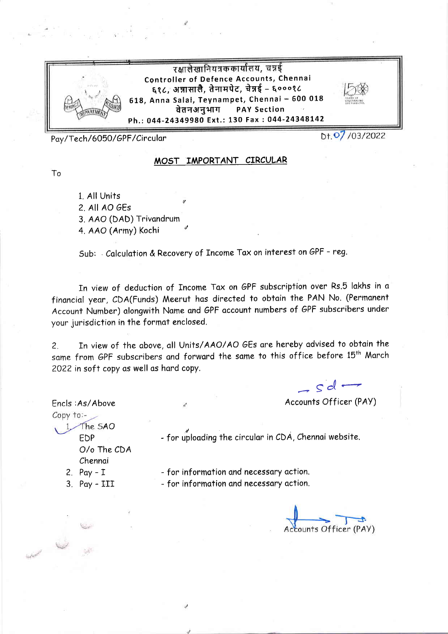

Pay/Tech/6050/GPF/Circular

To

Dt. 07/03/2022

## MOST IMPORTANT CIRCULAR

1. All Units 2 All AO GEs 3. AAO (DAD) Trivandrum 4. AAO (Army) Kochi

Sub: Calculation & Recovery of Income Tax on interest on GPF - reg.

In view of deduction of Income Tax on GPF subscription over Rs.5 lakhs in a financial year, CDA(Funds) Meerut has directed to obtain the PAN No. (Permanent Account Number) alongwith Name and GPF account numbers of GPF subscribers under your jurisdiction in the format enclosed.

In view of the above, all Units/AAO/AO GEs are hereby advised to obtain the  $\overline{2}$ . same from GPF subscribers and forward the same to this office before 15<sup>th</sup> March 2022 in soft copy as well as hard copy.

 $-sd$ 

Accounts Officer (PAY)

Copy to:-1 The SAO EDP O/o The CDA Chennai

Encls: As/Above

- for uploading the circular in CDA, Chennai website.

2.  $Pay - I$ 

 $3.$  Pay - III

- for information and necessary action. - for information and necessary action.

Accounts Officer (PAY)